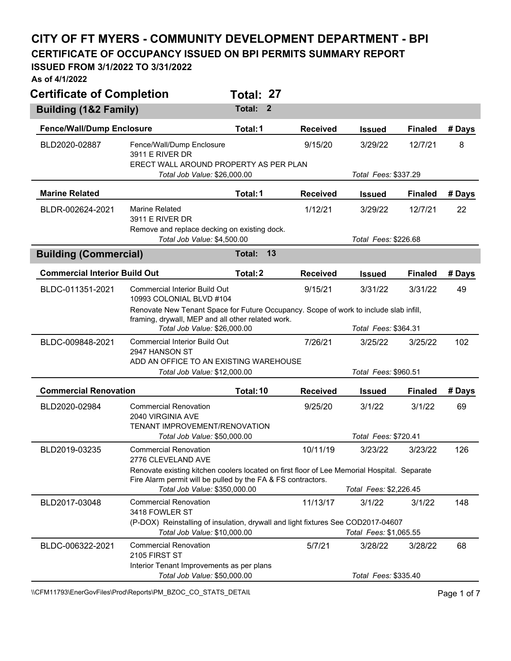## **CITY OF FT MYERS - COMMUNITY DEVELOPMENT DEPARTMENT - BPI**

**CERTIFICATE OF OCCUPANCY ISSUED ON BPI PERMITS SUMMARY REPORT** 

## **ISSUED FROM 3/1/2022 TO 3/31/2022**

**As of 4/1/2022** 

| <b>Certificate of Completion</b>     |                                                                                                                                                             | Total: 27 |              |                 |                        |                      |        |  |  |
|--------------------------------------|-------------------------------------------------------------------------------------------------------------------------------------------------------------|-----------|--------------|-----------------|------------------------|----------------------|--------|--|--|
| Building (1&2 Family)                |                                                                                                                                                             | Total:    | $\mathbf{2}$ |                 |                        |                      |        |  |  |
| <b>Fence/Wall/Dump Enclosure</b>     |                                                                                                                                                             | Total: 1  |              | <b>Received</b> | <b>Issued</b>          | <b>Finaled</b>       | # Days |  |  |
| BLD2020-02887                        | Fence/Wall/Dump Enclosure<br>3911 E RIVER DR                                                                                                                |           |              | 9/15/20         | 3/29/22                | 12/7/21              | 8      |  |  |
|                                      | ERECT WALL AROUND PROPERTY AS PER PLAN<br>Total Job Value: \$26,000.00                                                                                      |           |              |                 | Total Fees: \$337.29   |                      |        |  |  |
| <b>Marine Related</b>                |                                                                                                                                                             | Total: 1  |              | <b>Received</b> | <b>Issued</b>          | <b>Finaled</b>       | # Days |  |  |
| BLDR-002624-2021                     | Marine Related<br><b>3911 E RIVER DR</b>                                                                                                                    |           |              | 1/12/21         | 3/29/22                | 12/7/21              | 22     |  |  |
|                                      | Remove and replace decking on existing dock.<br>Total Job Value: \$4,500.00                                                                                 |           |              |                 |                        | Total Fees: \$226.68 |        |  |  |
| <b>Building (Commercial)</b>         |                                                                                                                                                             | Total:    | 13           |                 |                        |                      |        |  |  |
| <b>Commercial Interior Build Out</b> |                                                                                                                                                             | Total: 2  |              | <b>Received</b> | <b>Issued</b>          | <b>Finaled</b>       | # Days |  |  |
| BLDC-011351-2021                     | <b>Commercial Interior Build Out</b><br>10993 COLONIAL BLVD #104                                                                                            |           |              | 9/15/21         | 3/31/22                | 3/31/22              | 49     |  |  |
|                                      | Renovate New Tenant Space for Future Occupancy. Scope of work to include slab infill,<br>framing, drywall, MEP and all other related work.                  |           |              |                 |                        |                      |        |  |  |
|                                      | Total Job Value: \$26,000.00                                                                                                                                |           |              |                 | Total Fees: \$364.31   |                      |        |  |  |
| BLDC-009848-2021                     | <b>Commercial Interior Build Out</b><br>2947 HANSON ST                                                                                                      |           |              | 7/26/21         | 3/25/22                | 3/25/22              | 102    |  |  |
|                                      | ADD AN OFFICE TO AN EXISTING WAREHOUSE<br>Total Job Value: \$12,000.00                                                                                      |           |              |                 | Total Fees: \$960.51   |                      |        |  |  |
| <b>Commercial Renovation</b>         |                                                                                                                                                             | Total: 10 |              | <b>Received</b> | <b>Issued</b>          | <b>Finaled</b>       | # Days |  |  |
| BLD2020-02984                        | <b>Commercial Renovation</b><br>2040 VIRGINIA AVE<br><b>TENANT IMPROVEMENT/RENOVATION</b>                                                                   |           |              | 9/25/20         | 3/1/22                 | 3/1/22               | 69     |  |  |
|                                      | Total Job Value: \$50,000.00                                                                                                                                |           |              |                 | Total Fees: \$720.41   |                      |        |  |  |
| BLD2019-03235                        | <b>Commercial Renovation</b><br>2776 CLEVELAND AVE                                                                                                          |           |              | 10/11/19        | 3/23/22                | 3/23/22              | 126    |  |  |
|                                      | Renovate existing kitchen coolers located on first floor of Lee Memorial Hospital. Separate<br>Fire Alarm permit will be pulled by the FA & FS contractors. |           |              |                 |                        |                      |        |  |  |
|                                      | Total Job Value: \$350,000.00                                                                                                                               |           |              |                 | Total Fees: \$2,226.45 |                      |        |  |  |
| BLD2017-03048                        | <b>Commercial Renovation</b><br>3418 FOWLER ST                                                                                                              |           |              | 11/13/17        | 3/1/22                 | 3/1/22               | 148    |  |  |
|                                      | (P-DOX) Reinstalling of insulation, drywall and light fixtures See COD2017-04607<br>Total Job Value: \$10,000.00                                            |           |              |                 | Total Fees: \$1,065.55 |                      |        |  |  |
| BLDC-006322-2021                     | <b>Commercial Renovation</b><br>2105 FIRST ST                                                                                                               |           |              | 5/7/21          | 3/28/22                | 3/28/22              | 68     |  |  |
|                                      | Interior Tenant Improvements as per plans<br>Total Job Value: \$50,000.00                                                                                   |           |              |                 | Total Fees: \$335.40   |                      |        |  |  |

\\CFM11793\EnerGovFiles\Prod\Reports\PM\_BZOC\_CO\_STATS\_DETAIL\PhysicalCritics\PM\_BZOC\_CO\_STATS\_DETAIL\PhysicalCritics\PM\_BZOC\_CO\_STATS\_DETAIL\PhysicalCritics\PM\_BZOC\_CO\_STATS\_DETAIL\PhysicalCritics\PM\_BZOC\_CO\_STATS\_DETAIL\P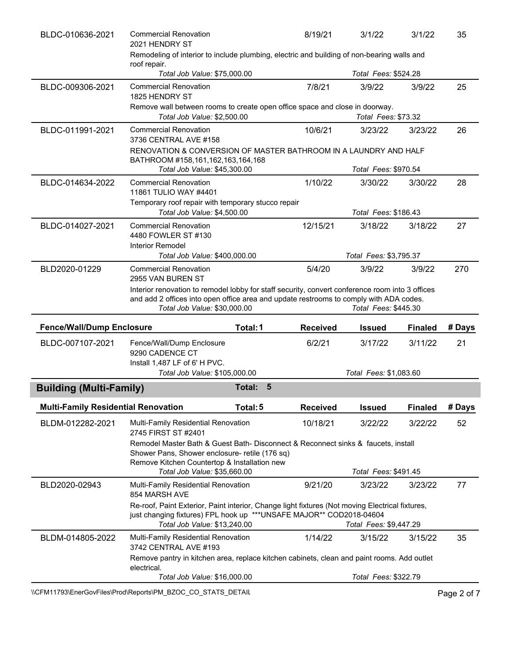| BLDC-010636-2021                           | <b>Commercial Renovation</b><br>2021 HENDRY ST                                                                                                                                                         |                      | 8/19/21                                                                                    | 3/1/22                 | 3/1/22         | 35     |
|--------------------------------------------|--------------------------------------------------------------------------------------------------------------------------------------------------------------------------------------------------------|----------------------|--------------------------------------------------------------------------------------------|------------------------|----------------|--------|
|                                            | roof repair.                                                                                                                                                                                           |                      | Remodeling of interior to include plumbing, electric and building of non-bearing walls and |                        |                |        |
|                                            | Total Job Value: \$75,000.00                                                                                                                                                                           |                      |                                                                                            |                        |                |        |
| BLDC-009306-2021                           | <b>Commercial Renovation</b><br>1825 HENDRY ST                                                                                                                                                         |                      | 7/8/21                                                                                     | 3/9/22                 | 3/9/22         | 25     |
|                                            | Remove wall between rooms to create open office space and close in doorway.<br>Total Job Value: \$2,500.00                                                                                             |                      |                                                                                            | Total Fees: \$73.32    |                |        |
| BLDC-011991-2021                           | <b>Commercial Renovation</b><br>3736 CENTRAL AVE #158                                                                                                                                                  |                      | 10/6/21                                                                                    | 3/23/22                | 3/23/22        | 26     |
|                                            | RENOVATION & CONVERSION OF MASTER BATHROOM IN A LAUNDRY AND HALF<br>BATHROOM #158,161,162,163,164,168                                                                                                  |                      |                                                                                            |                        |                |        |
|                                            | Total Job Value: \$45,300.00                                                                                                                                                                           |                      |                                                                                            | Total Fees: \$970.54   |                |        |
| BLDC-014634-2022                           | <b>Commercial Renovation</b><br>11861 TULIO WAY #4401                                                                                                                                                  |                      | 1/10/22                                                                                    | 3/30/22                | 3/30/22        | 28     |
|                                            | Temporary roof repair with temporary stucco repair<br>Total Job Value: \$4,500.00                                                                                                                      |                      |                                                                                            | Total Fees: \$186.43   |                |        |
| BLDC-014027-2021                           | <b>Commercial Renovation</b><br>4480 FOWLER ST #130<br><b>Interior Remodel</b>                                                                                                                         |                      | 12/15/21                                                                                   | 3/18/22                | 3/18/22        | 27     |
|                                            | Total Job Value: \$400,000.00                                                                                                                                                                          |                      |                                                                                            | Total Fees: \$3,795.37 |                |        |
| BLD2020-01229                              | <b>Commercial Renovation</b><br>2955 VAN BUREN ST                                                                                                                                                      |                      | 5/4/20                                                                                     | 3/9/22                 | 3/9/22         | 270    |
|                                            | Interior renovation to remodel lobby for staff security, convert conference room into 3 offices<br>and add 2 offices into open office area and update restrooms to comply with ADA codes.              |                      |                                                                                            |                        |                |        |
|                                            | Total Job Value: \$30,000.00                                                                                                                                                                           |                      |                                                                                            | Total Fees: \$445.30   |                |        |
| <b>Fence/Wall/Dump Enclosure</b>           |                                                                                                                                                                                                        | Total: 1             | <b>Received</b>                                                                            | <b>Issued</b>          | <b>Finaled</b> | # Days |
| BLDC-007107-2021                           | Fence/Wall/Dump Enclosure<br>9290 CADENCE CT<br>Install 1,487 LF of 6' H PVC.                                                                                                                          |                      | 6/2/21                                                                                     | 3/17/22                | 3/11/22        | 21     |
|                                            | Total Job Value: \$105,000.00                                                                                                                                                                          |                      |                                                                                            | Total Fees: \$1,083.60 |                |        |
| <b>Building (Multi-Family)</b>             |                                                                                                                                                                                                        | $\sqrt{5}$<br>Total: |                                                                                            |                        |                |        |
| <b>Multi-Family Residential Renovation</b> |                                                                                                                                                                                                        | Total: 5             | <b>Received</b>                                                                            | <b>Issued</b>          | <b>Finaled</b> | # Days |
| BLDM-012282-2021                           | Multi-Family Residential Renovation<br>2745 FIRST ST #2401                                                                                                                                             |                      | 10/18/21                                                                                   | 3/22/22                | 3/22/22        | 52     |
|                                            | Remodel Master Bath & Guest Bath- Disconnect & Reconnect sinks & faucets, install<br>Shower Pans, Shower enclosure- retile (176 sq)<br>Remove Kitchen Countertop & Installation new                    |                      |                                                                                            |                        |                |        |
|                                            | Total Job Value: \$35,660.00                                                                                                                                                                           |                      |                                                                                            | Total Fees: \$491.45   |                |        |
| BLD2020-02943                              | Multi-Family Residential Renovation<br>854 MARSH AVE                                                                                                                                                   |                      | 9/21/20                                                                                    | 3/23/22                | 3/23/22        | 77     |
|                                            | Re-roof, Paint Exterior, Paint interior, Change light fixtures (Not moving Electrical fixtures,<br>just changing fixtures) FPL hook up ***UNSAFE MAJOR** COD2018-04604<br>Total Job Value: \$13,240.00 |                      |                                                                                            | Total Fees: \$9,447.29 |                |        |
| BLDM-014805-2022                           | Multi-Family Residential Renovation<br>3742 CENTRAL AVE #193                                                                                                                                           |                      | 1/14/22                                                                                    | 3/15/22                | 3/15/22        | 35     |
|                                            | Remove pantry in kitchen area, replace kitchen cabinets, clean and paint rooms. Add outlet<br>electrical.<br>Total Job Value: \$16,000.00                                                              |                      |                                                                                            | Total Fees: \$322.79   |                |        |

\\CFM11793\EnerGovFiles\Prod\Reports\PM\_BZOC\_CO\_STATS\_DETAIL\PhysicalCefment Page 2 of 7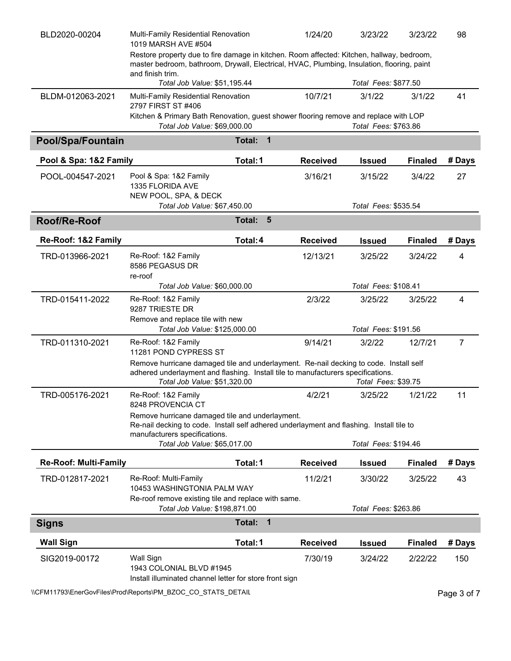| BLD2020-00204                | Multi-Family Residential Renovation<br>1019 MARSH AVE #504                                                                                                                                                                       |                           | 1/24/20         | 3/23/22                         | 3/23/22        | 98             |
|------------------------------|----------------------------------------------------------------------------------------------------------------------------------------------------------------------------------------------------------------------------------|---------------------------|-----------------|---------------------------------|----------------|----------------|
|                              | Restore property due to fire damage in kitchen. Room affected: Kitchen, hallway, bedroom,<br>master bedroom, bathroom, Drywall, Electrical, HVAC, Plumbing, Insulation, flooring, paint<br>and finish trim.                      |                           |                 |                                 |                |                |
|                              | Total Job Value: \$51,195.44                                                                                                                                                                                                     |                           |                 | Total Fees: \$877.50            |                |                |
| BLDM-012063-2021             | Multi-Family Residential Renovation<br>2797 FIRST ST #406                                                                                                                                                                        |                           | 10/7/21         | 3/1/22                          | 3/1/22         | 41             |
|                              | Kitchen & Primary Bath Renovation, guest shower flooring remove and replace with LOP<br>Total Job Value: \$69,000.00                                                                                                             |                           |                 | Total Fees: \$763.86            |                |                |
| <b>Pool/Spa/Fountain</b>     |                                                                                                                                                                                                                                  | $\mathbf{1}$<br>Total:    |                 |                                 |                |                |
| Pool & Spa: 1&2 Family       |                                                                                                                                                                                                                                  | Total: 1                  | <b>Received</b> | <b>Issued</b>                   | <b>Finaled</b> | # Days         |
| POOL-004547-2021             | Pool & Spa: 1&2 Family<br>1335 FLORIDA AVE<br>NEW POOL, SPA, & DECK<br>Total Job Value: \$67,450.00                                                                                                                              |                           | 3/16/21         | 3/15/22<br>Total Fees: \$535.54 | 3/4/22         | 27             |
| Roof/Re-Roof                 |                                                                                                                                                                                                                                  | Total:<br>$5\overline{5}$ |                 |                                 |                |                |
|                              |                                                                                                                                                                                                                                  |                           |                 |                                 |                |                |
| Re-Roof: 1&2 Family          |                                                                                                                                                                                                                                  | Total: 4                  | <b>Received</b> | <b>Issued</b>                   | <b>Finaled</b> | # Days         |
| TRD-013966-2021              | Re-Roof: 1&2 Family<br>8586 PEGASUS DR<br>re-roof                                                                                                                                                                                |                           | 12/13/21        | 3/25/22                         | 3/24/22        | 4              |
|                              | Total Job Value: \$60,000.00                                                                                                                                                                                                     |                           |                 | Total Fees: \$108.41            |                |                |
| TRD-015411-2022              | Re-Roof: 1&2 Family<br>9287 TRIESTE DR<br>Remove and replace tile with new                                                                                                                                                       |                           | 2/3/22          | 3/25/22                         | 3/25/22        | $\overline{4}$ |
|                              | Total Job Value: \$125,000.00                                                                                                                                                                                                    |                           |                 | Total Fees: \$191.56            |                |                |
| TRD-011310-2021              | Re-Roof: 1&2 Family<br>11281 POND CYPRESS ST                                                                                                                                                                                     |                           | 9/14/21         | 3/2/22                          | 12/7/21        | $\overline{7}$ |
|                              | Remove hurricane damaged tile and underlayment. Re-nail decking to code. Install self<br>adhered underlayment and flashing. Install tile to manufacturers specifications.<br>Total Job Value: \$51,320.00<br>Total Fees: \$39.75 |                           |                 |                                 |                |                |
| TRD-005176-2021              | Re-Roof: 1&2 Family<br>8248 PROVENCIA CT                                                                                                                                                                                         |                           | 4/2/21          | 3/25/22                         | 1/21/22        | 11             |
|                              | Remove hurricane damaged tile and underlayment.<br>Re-nail decking to code. Install self adhered underlayment and flashing. Install tile to<br>manufacturers specifications.                                                     |                           |                 |                                 |                |                |
|                              | Total Job Value: \$65,017.00                                                                                                                                                                                                     |                           |                 | Total Fees: \$194.46            |                |                |
| <b>Re-Roof: Multi-Family</b> |                                                                                                                                                                                                                                  | Total: 1                  | <b>Received</b> | <b>Issued</b>                   | <b>Finaled</b> | # Days         |
| TRD-012817-2021              | Re-Roof: Multi-Family<br>10453 WASHINGTONIA PALM WAY                                                                                                                                                                             |                           | 11/2/21         | 3/30/22                         | 3/25/22        | 43             |
|                              | Re-roof remove existing tile and replace with same.<br>Total Job Value: \$198,871.00                                                                                                                                             |                           |                 | Total Fees: \$263.86            |                |                |
| <b>Signs</b>                 |                                                                                                                                                                                                                                  | $\mathbf{1}$<br>Total:    |                 |                                 |                |                |
| <b>Wall Sign</b>             |                                                                                                                                                                                                                                  | Total: 1                  | <b>Received</b> | <b>Issued</b>                   | <b>Finaled</b> | # Days         |
| SIG2019-00172                | Wall Sign<br>1943 COLONIAL BLVD #1945<br>Install illuminated channel letter for store front sign                                                                                                                                 |                           | 7/30/19         | 3/24/22                         | 2/22/22        | 150            |

\\CFM11793\EnerGovFiles\Prod\Reports\PM\_BZOC\_CO\_STATS\_DETAIL\PhysicalCefment Page 3 of 7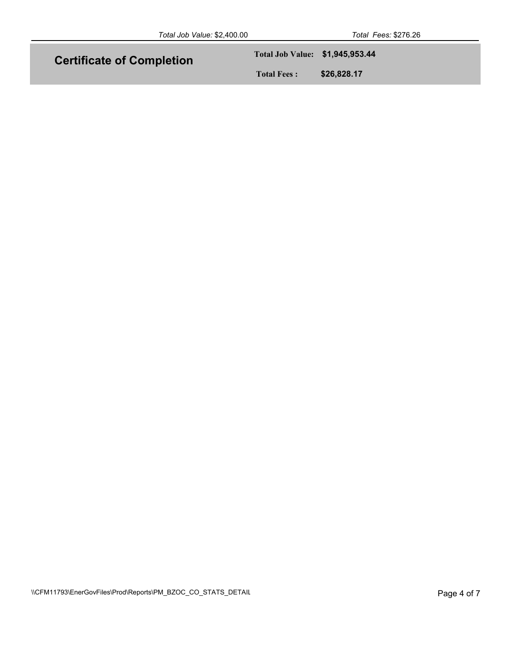| Total Job Value: \$2,400.00      |                                 | Total Fees: \$276.26 |
|----------------------------------|---------------------------------|----------------------|
| <b>Certificate of Completion</b> | Total Job Value: \$1,945,953.44 |                      |
|                                  | <b>Total Fees:</b>              | \$26,828.17          |
|                                  |                                 |                      |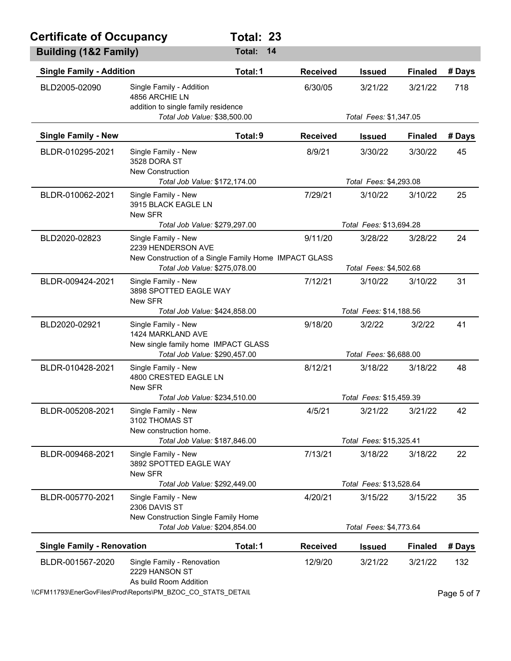| <b>Certificate of Occupancy</b>   |                                                                                                                                     | Total: 23     |                 |                                   |                        |             |  |
|-----------------------------------|-------------------------------------------------------------------------------------------------------------------------------------|---------------|-----------------|-----------------------------------|------------------------|-------------|--|
| <b>Building (1&amp;2 Family)</b>  |                                                                                                                                     | <b>Total:</b> | 14              |                                   |                        |             |  |
| <b>Single Family - Addition</b>   |                                                                                                                                     | Total: 1      | <b>Received</b> | <b>Issued</b>                     | <b>Finaled</b>         | # Days      |  |
| BLD2005-02090                     | Single Family - Addition<br>4856 ARCHIE LN<br>addition to single family residence                                                   |               | 6/30/05         | 3/21/22                           | 3/21/22                | 718         |  |
|                                   | Total Job Value: \$38,500.00                                                                                                        |               |                 | Total Fees: \$1,347.05            |                        |             |  |
| <b>Single Family - New</b>        |                                                                                                                                     | Total: 9      | <b>Received</b> | <b>Issued</b>                     | <b>Finaled</b>         | # Days      |  |
| BLDR-010295-2021                  | Single Family - New<br>3528 DORA ST<br><b>New Construction</b><br>Total Job Value: \$172,174.00                                     |               | 8/9/21          | 3/30/22<br>Total Fees: \$4,293.08 | 3/30/22                | 45          |  |
| BLDR-010062-2021                  | Single Family - New<br>3915 BLACK EAGLE LN<br>New SFR                                                                               |               | 7/29/21         | 3/10/22                           | 3/10/22                | 25          |  |
|                                   | Total Job Value: \$279,297.00                                                                                                       |               |                 | Total Fees: \$13,694.28           |                        |             |  |
| BLD2020-02823                     | Single Family - New<br>2239 HENDERSON AVE<br>New Construction of a Single Family Home IMPACT GLASS<br>Total Job Value: \$275,078.00 |               | 9/11/20         | 3/28/22<br>Total Fees: \$4,502.68 | 3/28/22                | 24          |  |
| BLDR-009424-2021                  | Single Family - New<br>3898 SPOTTED EAGLE WAY<br>New SFR                                                                            |               | 7/12/21         | 3/10/22                           | 3/10/22                | 31          |  |
|                                   | Total Job Value: \$424,858.00                                                                                                       |               |                 | Total Fees: \$14,188.56           |                        |             |  |
| BLD2020-02921                     | Single Family - New<br>1424 MARKLAND AVE<br>New single family home IMPACT GLASS                                                     |               | 9/18/20         | 3/2/22                            | 3/2/22                 | 41          |  |
|                                   | Total Job Value: \$290,457.00                                                                                                       |               |                 | Total Fees: \$6,688.00            |                        |             |  |
| BLDR-010428-2021                  | Single Family - New<br>4800 CRESTED EAGLE LN<br>New SFR                                                                             |               | 8/12/21         | 3/18/22                           | 3/18/22                | 48          |  |
|                                   | Total Job Value: \$234,510.00                                                                                                       |               |                 | Total Fees: \$15,459.39           |                        |             |  |
| BLDR-005208-2021                  | Single Family - New<br>3102 THOMAS ST<br>New construction home.                                                                     |               | 4/5/21          | 3/21/22                           | 3/21/22                | 42          |  |
|                                   | Total Job Value: \$187,846.00                                                                                                       |               |                 | Total Fees: \$15,325.41           |                        |             |  |
| BLDR-009468-2021                  | Single Family - New<br>3892 SPOTTED EAGLE WAY<br>New SFR                                                                            |               | 7/13/21         | 3/18/22                           | 3/18/22                | 22          |  |
|                                   | Total Job Value: \$292,449.00                                                                                                       |               |                 | Total Fees: \$13,528.64           |                        |             |  |
| BLDR-005770-2021                  | Single Family - New<br>2306 DAVIS ST<br>New Construction Single Family Home                                                         |               | 4/20/21         | 3/15/22                           | 3/15/22                | 35          |  |
|                                   | Total Job Value: \$204,854.00                                                                                                       |               |                 |                                   | Total Fees: \$4,773.64 |             |  |
| <b>Single Family - Renovation</b> |                                                                                                                                     | Total: 1      | <b>Received</b> | <b>Issued</b>                     | <b>Finaled</b>         | # Days      |  |
| BLDR-001567-2020                  | Single Family - Renovation<br>2229 HANSON ST<br>As build Room Addition                                                              |               | 12/9/20         | 3/21/22                           | 3/21/22                | 132         |  |
|                                   | \\CFM11793\EnerGovFiles\Prod\Reports\PM_BZOC_CO_STATS_DETAIL                                                                        |               |                 |                                   |                        | Page 5 of 7 |  |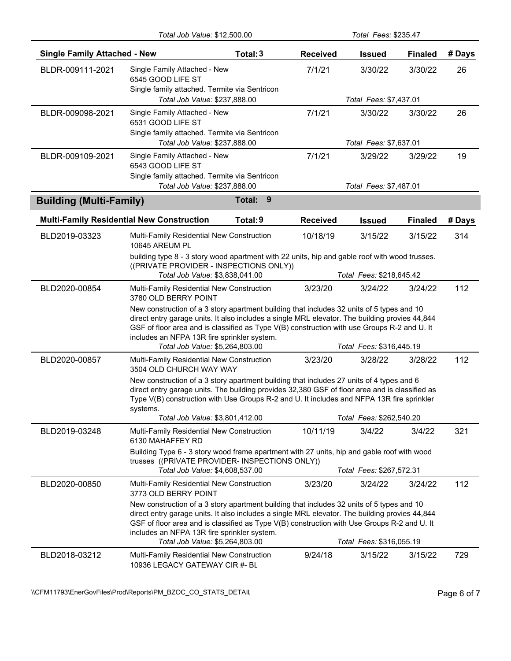|                                     | Total Job Value: \$12,500.00                                                                                                                                                                                                                                                                                                                                                                                                                      |             |                 | Total Fees: \$235.47                |                |        |
|-------------------------------------|---------------------------------------------------------------------------------------------------------------------------------------------------------------------------------------------------------------------------------------------------------------------------------------------------------------------------------------------------------------------------------------------------------------------------------------------------|-------------|-----------------|-------------------------------------|----------------|--------|
| <b>Single Family Attached - New</b> |                                                                                                                                                                                                                                                                                                                                                                                                                                                   | Total: 3    | <b>Received</b> | <b>Issued</b>                       | <b>Finaled</b> | # Days |
| BLDR-009111-2021                    | Single Family Attached - New<br>6545 GOOD LIFE ST<br>Single family attached. Termite via Sentricon<br>Total Job Value: \$237,888.00                                                                                                                                                                                                                                                                                                               |             | 7/1/21          | 3/30/22<br>Total Fees: \$7,437.01   | 3/30/22        | 26     |
| BLDR-009098-2021                    | Single Family Attached - New<br>6531 GOOD LIFE ST<br>Single family attached. Termite via Sentricon<br>Total Job Value: \$237,888.00                                                                                                                                                                                                                                                                                                               |             | 7/1/21          | 3/30/22<br>Total Fees: \$7,637.01   | 3/30/22        | 26     |
| BLDR-009109-2021                    | Single Family Attached - New<br>6543 GOOD LIFE ST<br>Single family attached. Termite via Sentricon<br>Total Job Value: \$237,888.00                                                                                                                                                                                                                                                                                                               |             | 7/1/21          | 3/29/22<br>Total Fees: \$7,487.01   | 3/29/22        | 19     |
| <b>Building (Multi-Family)</b>      |                                                                                                                                                                                                                                                                                                                                                                                                                                                   | 9<br>Total: |                 |                                     |                |        |
|                                     | <b>Multi-Family Residential New Construction</b>                                                                                                                                                                                                                                                                                                                                                                                                  | Total: 9    | <b>Received</b> | <b>Issued</b>                       | <b>Finaled</b> | # Days |
| BLD2019-03323                       | Multi-Family Residential New Construction<br>10645 AREUM PL<br>building type 8 - 3 story wood apartment with 22 units, hip and gable roof with wood trusses.                                                                                                                                                                                                                                                                                      |             | 10/18/19        | 3/15/22                             | 3/15/22        | 314    |
|                                     | ((PRIVATE PROVIDER - INSPECTIONS ONLY))<br>Total Job Value: \$3,838,041.00                                                                                                                                                                                                                                                                                                                                                                        |             |                 | Total Fees: \$218,645.42            |                |        |
| BLD2020-00854                       | Multi-Family Residential New Construction<br>3780 OLD BERRY POINT<br>New construction of a 3 story apartment building that includes 32 units of 5 types and 10<br>direct entry garage units. It also includes a single MRL elevator. The building provies 44,844<br>GSF of floor area and is classified as Type V(B) construction with use Groups R-2 and U. It<br>includes an NFPA 13R fire sprinkler system.<br>Total Job Value: \$5,264,803.00 |             | 3/23/20         | 3/24/22<br>Total Fees: \$316,445.19 | 3/24/22        | 112    |
| BLD2020-00857                       | Multi-Family Residential New Construction<br>3504 OLD CHURCH WAY WAY<br>New construction of a 3 story apartment building that includes 27 units of 4 types and 6<br>direct entry garage units. The building provides 32,380 GSF of floor area and is classified as<br>Type V(B) construction with Use Groups R-2 and U. It includes and NFPA 13R fire sprinkler<br>systems.<br>Total Job Value: \$3,801,412.00                                    |             | 3/23/20         | 3/28/22<br>Total Fees: \$262,540.20 | 3/28/22        | 112    |
| BLD2019-03248                       | Multi-Family Residential New Construction<br>6130 MAHAFFEY RD<br>Building Type 6 - 3 story wood frame apartment with 27 units, hip and gable roof with wood<br>trusses ((PRIVATE PROVIDER- INSPECTIONS ONLY))<br>Total Job Value: \$4,608,537.00                                                                                                                                                                                                  |             | 10/11/19        | 3/4/22<br>Total Fees: \$267,572.31  | 3/4/22         | 321    |
| BLD2020-00850                       | Multi-Family Residential New Construction<br>3773 OLD BERRY POINT<br>New construction of a 3 story apartment building that includes 32 units of 5 types and 10<br>direct entry garage units. It also includes a single MRL elevator. The building provies 44,844<br>GSF of floor area and is classified as Type V(B) construction with Use Groups R-2 and U. It<br>includes an NFPA 13R fire sprinkler system.<br>Total Job Value: \$5,264,803.00 |             | 3/23/20         | 3/24/22<br>Total Fees: \$316,055.19 | 3/24/22        | 112    |
| BLD2018-03212                       | Multi-Family Residential New Construction<br>10936 LEGACY GATEWAY CIR #- BL                                                                                                                                                                                                                                                                                                                                                                       |             | 9/24/18         | 3/15/22                             | 3/15/22        | 729    |